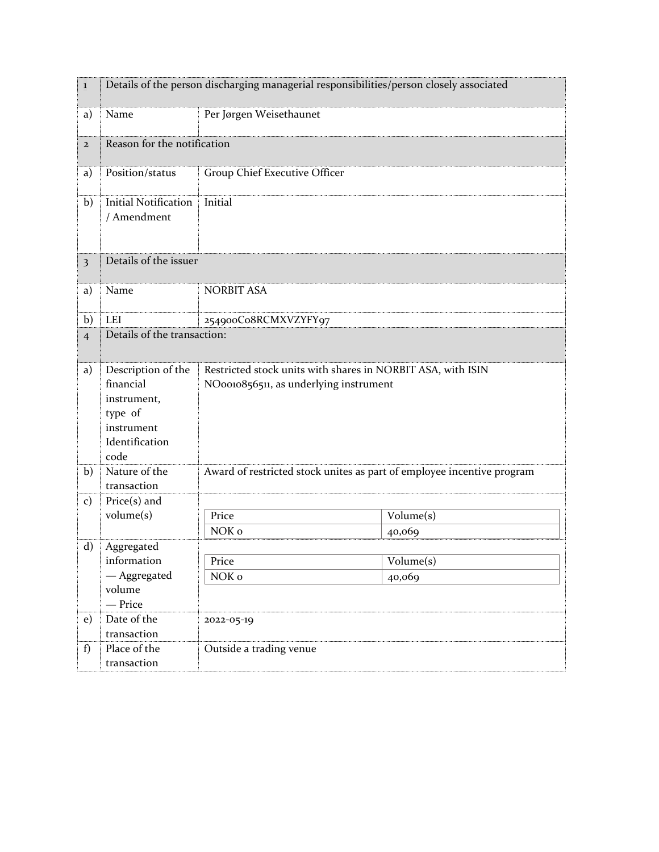| $\bf{l}$       | Details of the person discharging managerial responsibilities/person closely associated           |                                                                                                       |                       |  |
|----------------|---------------------------------------------------------------------------------------------------|-------------------------------------------------------------------------------------------------------|-----------------------|--|
| a)             | Name                                                                                              | Per Jørgen Weisethaunet                                                                               |                       |  |
| $\overline{2}$ |                                                                                                   | Reason for the notification                                                                           |                       |  |
| a)             | Position/status                                                                                   | Group Chief Executive Officer                                                                         |                       |  |
| b)             | <b>Initial Notification</b><br>/ Amendment                                                        | Initial                                                                                               |                       |  |
| 3              | Details of the issuer                                                                             |                                                                                                       |                       |  |
| a)             | Name                                                                                              | <b>NORBIT ASA</b>                                                                                     |                       |  |
| b)             | LEI                                                                                               | 254900Co8RCMXVZYFY97                                                                                  |                       |  |
| $\overline{4}$ | Details of the transaction:                                                                       |                                                                                                       |                       |  |
| a)             | Description of the<br>financial<br>instrument,<br>type of<br>instrument<br>Identification<br>code | Restricted stock units with shares in NORBIT ASA, with ISIN<br>NO0010856511, as underlying instrument |                       |  |
| b)             | Nature of the<br>transaction                                                                      | Award of restricted stock unites as part of employee incentive program                                |                       |  |
| $\mathbf{c})$  | $Price(s)$ and                                                                                    |                                                                                                       |                       |  |
|                | volume(s)                                                                                         | Price                                                                                                 | Volume(s)             |  |
|                |                                                                                                   | NOK o                                                                                                 | 40,069                |  |
| d)             | Aggregated                                                                                        |                                                                                                       |                       |  |
|                | information                                                                                       | Price                                                                                                 | $\bar{V}$ olume $(s)$ |  |
|                | — Aggregated<br>volume                                                                            | NOK o                                                                                                 | 40,069                |  |
|                | - Price                                                                                           |                                                                                                       |                       |  |
| e)             | Date of the                                                                                       | 2022-05-19                                                                                            |                       |  |
|                | transaction                                                                                       |                                                                                                       |                       |  |
| f)             | Place of the                                                                                      | Outside a trading venue                                                                               |                       |  |
|                | transaction                                                                                       |                                                                                                       |                       |  |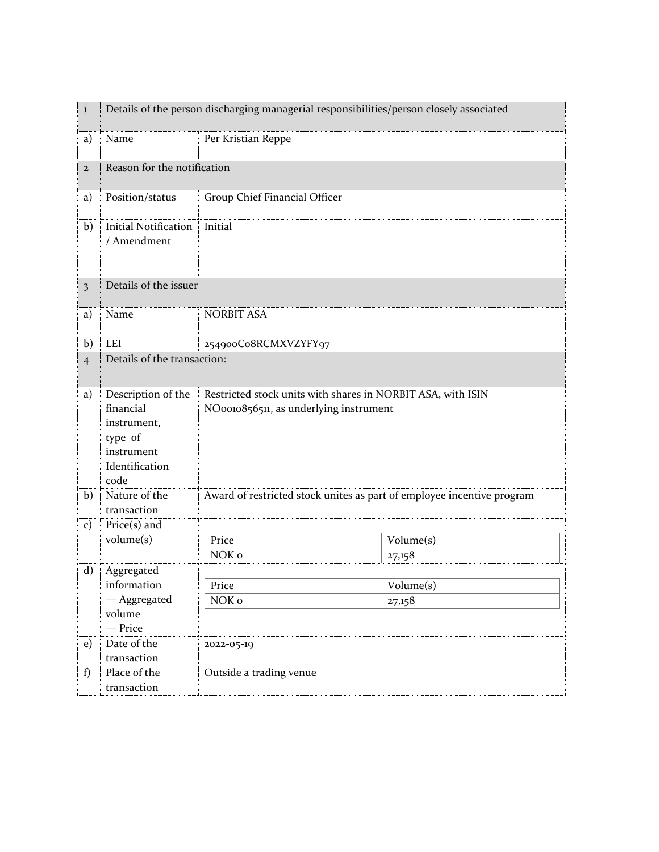| $\bf{l}$                | Details of the person discharging managerial responsibilities/person closely associated           |                                                                                                       |           |  |
|-------------------------|---------------------------------------------------------------------------------------------------|-------------------------------------------------------------------------------------------------------|-----------|--|
| a)                      | Name                                                                                              | Per Kristian Reppe                                                                                    |           |  |
| $\overline{2}$          | Reason for the notification                                                                       |                                                                                                       |           |  |
| a)                      | Position/status                                                                                   | Group Chief Financial Officer                                                                         |           |  |
| b)                      | <b>Initial Notification</b><br>/ Amendment                                                        | Initial                                                                                               |           |  |
| $\overline{\mathbf{3}}$ | Details of the issuer                                                                             |                                                                                                       |           |  |
| a)                      | Name                                                                                              | <b>NORBIT ASA</b>                                                                                     |           |  |
| b)                      | LEI                                                                                               | 254900Co8RCMXVZYFY97                                                                                  |           |  |
| $\overline{4}$          | Details of the transaction:                                                                       |                                                                                                       |           |  |
| a)                      | Description of the<br>financial<br>instrument,<br>type of<br>instrument<br>Identification<br>code | Restricted stock units with shares in NORBIT ASA, with ISIN<br>NO0010856511, as underlying instrument |           |  |
| b)                      | Nature of the<br>transaction                                                                      | Award of restricted stock unites as part of employee incentive program                                |           |  |
| $\mathbf{c})$           | $Price(s)$ and                                                                                    |                                                                                                       |           |  |
|                         | volume(s)                                                                                         | Price                                                                                                 | Volume(s) |  |
|                         |                                                                                                   | NOK <sub>o</sub>                                                                                      | 27,158    |  |
| $\mathbf{d}$            | Aggregated                                                                                        |                                                                                                       |           |  |
|                         | information<br>— Aggregated                                                                       | Price<br>NOK o                                                                                        | Volume(s) |  |
|                         | volume<br>- Price                                                                                 |                                                                                                       | 27,158    |  |
| e)                      | Date of the                                                                                       | 2022-05-19                                                                                            |           |  |
|                         | transaction                                                                                       |                                                                                                       |           |  |
| f)                      | Place of the                                                                                      | Outside a trading venue                                                                               |           |  |
|                         | transaction                                                                                       |                                                                                                       |           |  |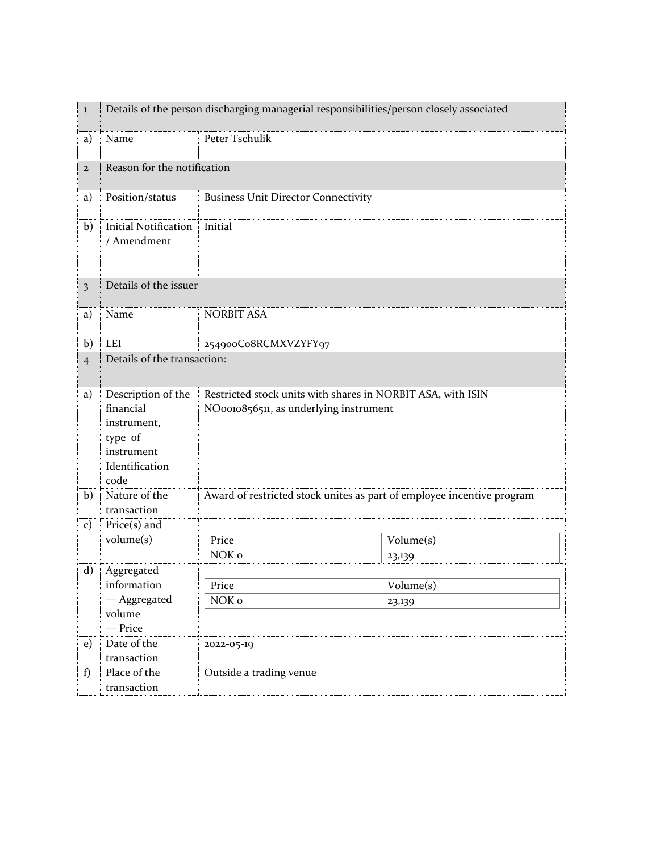| $\bf{l}$                | Details of the person discharging managerial responsibilities/person closely associated           |                                                                                                       |           |  |
|-------------------------|---------------------------------------------------------------------------------------------------|-------------------------------------------------------------------------------------------------------|-----------|--|
| a)                      | Name                                                                                              | Peter Tschulik                                                                                        |           |  |
| $\overline{2}$          | Reason for the notification                                                                       |                                                                                                       |           |  |
| a)                      | Position/status                                                                                   | <b>Business Unit Director Connectivity</b>                                                            |           |  |
| b)                      | <b>Initial Notification</b><br>/ Amendment                                                        | Initial                                                                                               |           |  |
| $\overline{\mathbf{3}}$ | Details of the issuer                                                                             |                                                                                                       |           |  |
| a)                      | Name                                                                                              | <b>NORBIT ASA</b>                                                                                     |           |  |
| b)                      | LEI                                                                                               | 254900Co8RCMXVZYFY97                                                                                  |           |  |
| $\overline{4}$          | Details of the transaction:                                                                       |                                                                                                       |           |  |
| a)                      | Description of the<br>financial<br>instrument,<br>type of<br>instrument<br>Identification<br>code | Restricted stock units with shares in NORBIT ASA, with ISIN<br>NO0010856511, as underlying instrument |           |  |
| b)                      | Nature of the<br>transaction                                                                      | Award of restricted stock unites as part of employee incentive program                                |           |  |
| $\mathbf{c})$           | $Price(s)$ and                                                                                    |                                                                                                       |           |  |
|                         | volume(s)                                                                                         | Price                                                                                                 | Volume(s) |  |
|                         |                                                                                                   | NOK <sub>o</sub>                                                                                      | 23,139    |  |
| $\mathbf{d}$            | Aggregated                                                                                        |                                                                                                       |           |  |
|                         | information                                                                                       | Price                                                                                                 | Volume(s) |  |
|                         | — Aggregated<br>volume                                                                            | NOK o                                                                                                 | 23,139    |  |
|                         | - Price                                                                                           |                                                                                                       |           |  |
| e)                      | Date of the                                                                                       | 2022-05-19                                                                                            |           |  |
|                         | transaction                                                                                       |                                                                                                       |           |  |
| f)                      | Place of the                                                                                      | Outside a trading venue                                                                               |           |  |
|                         | transaction                                                                                       |                                                                                                       |           |  |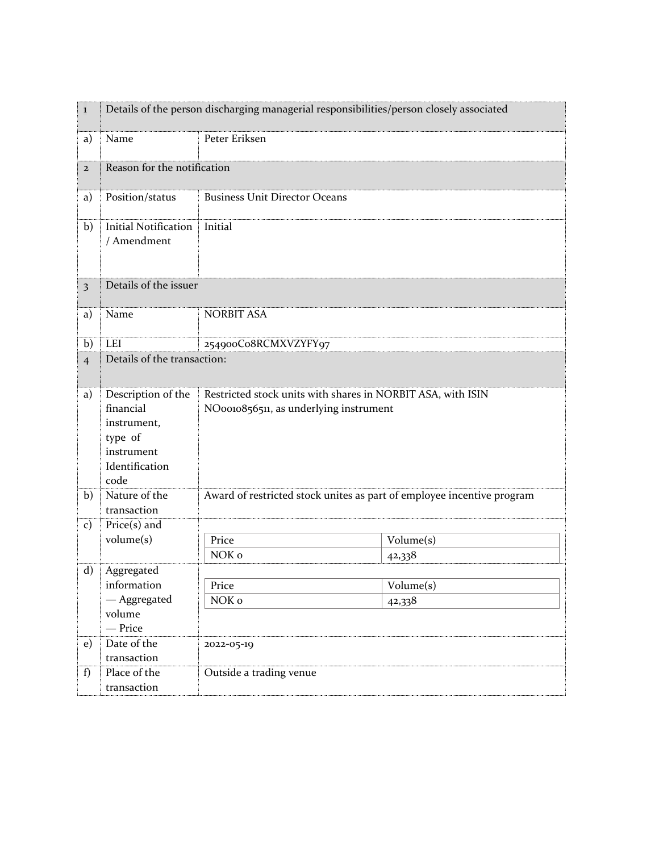| $\bf{l}$                | Details of the person discharging managerial responsibilities/person closely associated           |                                                                                                       |           |  |
|-------------------------|---------------------------------------------------------------------------------------------------|-------------------------------------------------------------------------------------------------------|-----------|--|
| a)                      | Name                                                                                              | Peter Eriksen                                                                                         |           |  |
| $\mathbf{2}$            |                                                                                                   | Reason for the notification                                                                           |           |  |
| a)                      | Position/status                                                                                   | <b>Business Unit Director Oceans</b>                                                                  |           |  |
| b)                      | <b>Initial Notification</b><br>/ Amendment                                                        | Initial                                                                                               |           |  |
| $\overline{\mathbf{3}}$ | Details of the issuer                                                                             |                                                                                                       |           |  |
| a)                      | Name                                                                                              | <b>NORBIT ASA</b>                                                                                     |           |  |
| b)                      | <b>LEI</b>                                                                                        | 254900Co8RCMXVZYFY97                                                                                  |           |  |
| $\overline{4}$          |                                                                                                   | Details of the transaction:                                                                           |           |  |
| a)                      | Description of the<br>financial<br>instrument,<br>type of<br>instrument<br>Identification<br>code | Restricted stock units with shares in NORBIT ASA, with ISIN<br>NO0010856511, as underlying instrument |           |  |
| b)                      | Nature of the<br>transaction                                                                      | Award of restricted stock unites as part of employee incentive program                                |           |  |
| $\mathbf{c})$           | $Price(s)$ and                                                                                    |                                                                                                       |           |  |
|                         | volume(s)                                                                                         | Price                                                                                                 | Volume(s) |  |
|                         |                                                                                                   | NOK o                                                                                                 | 42,338    |  |
| $\mathbf{d}$            | Aggregated                                                                                        |                                                                                                       |           |  |
|                         | information<br>— Aggregated                                                                       | Price<br>NOK o                                                                                        | Volume(s) |  |
|                         | volume                                                                                            |                                                                                                       | 42,338    |  |
|                         | - Price                                                                                           |                                                                                                       |           |  |
| e)                      | Date of the                                                                                       | 2022-05-19                                                                                            |           |  |
|                         | transaction                                                                                       |                                                                                                       |           |  |
| f)                      | Place of the                                                                                      | Outside a trading venue                                                                               |           |  |
|                         | transaction                                                                                       |                                                                                                       |           |  |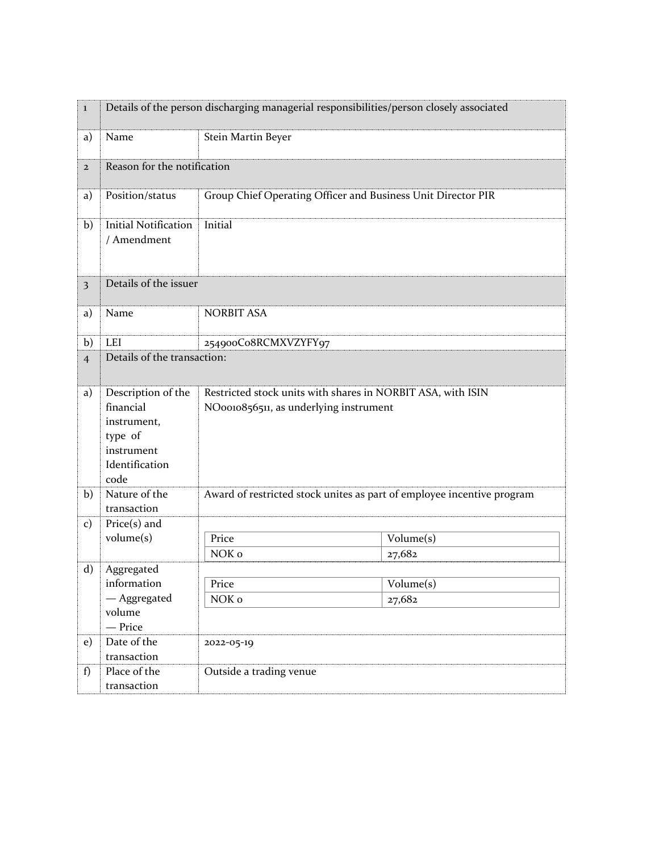| $\bf{l}$                | Details of the person discharging managerial responsibilities/person closely associated           |                                                                                                       |                                         |  |
|-------------------------|---------------------------------------------------------------------------------------------------|-------------------------------------------------------------------------------------------------------|-----------------------------------------|--|
| a)                      | Name                                                                                              | Stein Martin Beyer                                                                                    |                                         |  |
| $\mathbf{2}$            | Reason for the notification                                                                       |                                                                                                       |                                         |  |
| a)                      | Position/status                                                                                   | Group Chief Operating Officer and Business Unit Director PIR                                          |                                         |  |
| b)                      | <b>Initial Notification</b><br>/ Amendment                                                        | Initial                                                                                               |                                         |  |
| $\overline{\mathbf{3}}$ | Details of the issuer                                                                             |                                                                                                       |                                         |  |
| a)                      | Name                                                                                              | <b>NORBIT ASA</b>                                                                                     |                                         |  |
| b)                      | <b>LEI</b>                                                                                        | 254900Co8RCMXVZYFY97                                                                                  |                                         |  |
| $\overline{4}$          | Details of the transaction:                                                                       |                                                                                                       |                                         |  |
| a)                      | Description of the<br>financial<br>instrument,<br>type of<br>instrument<br>Identification<br>code | Restricted stock units with shares in NORBIT ASA, with ISIN<br>NO0010856511, as underlying instrument |                                         |  |
| b)                      | Nature of the<br>transaction                                                                      | Award of restricted stock unites as part of employee incentive program                                |                                         |  |
| $\mathbf{c})$           | $Price(s)$ and                                                                                    |                                                                                                       |                                         |  |
|                         | volume(s)                                                                                         | Price                                                                                                 | Volume(s)                               |  |
|                         |                                                                                                   | NOK o                                                                                                 | 27,682                                  |  |
| $\mathbf{d}$            | Aggregated                                                                                        |                                                                                                       |                                         |  |
|                         | information<br>— Aggregated                                                                       | Price<br>NOK o                                                                                        | $\overline{\text{Volume}}(s)$<br>27,682 |  |
|                         | volume                                                                                            |                                                                                                       |                                         |  |
|                         | - Price                                                                                           |                                                                                                       |                                         |  |
| e)                      | Date of the                                                                                       | 2022-05-19                                                                                            |                                         |  |
|                         | transaction                                                                                       |                                                                                                       |                                         |  |
| f)                      | Place of the                                                                                      | Outside a trading venue                                                                               |                                         |  |
|                         | transaction                                                                                       |                                                                                                       |                                         |  |